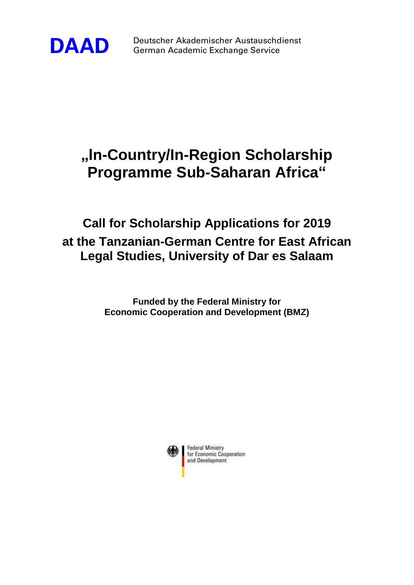

**DAAD** Deutscher Akademischer Austauschdienst German Academic Exchange Service

# **"In-Country/In-Region Scholarship Programme Sub-Saharan Africa"**

# **Call for Scholarship Applications for 2019 at the Tanzanian-German Centre for East African Legal Studies, University of Dar es Salaam**

**Funded by the Federal Ministry for Economic Cooperation and Development (BMZ)**



**Federal Ministry** for Economic Cooperation and Development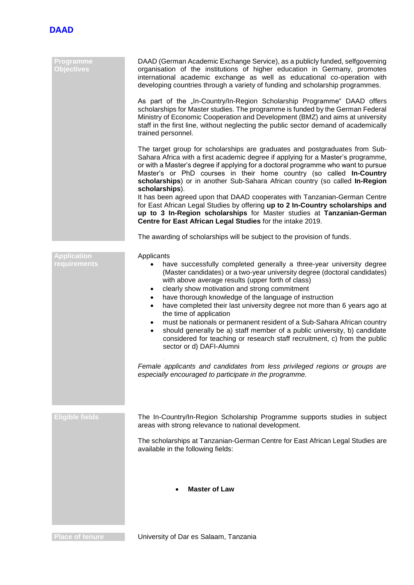

| Programme<br><b>Objectives</b>            | DAAD (German Academic Exchange Service), as a publicly funded, selfgoverning<br>organisation of the institutions of higher education in Germany, promotes<br>international academic exchange as well as educational co-operation with<br>developing countries through a variety of funding and scholarship programmes.<br>As part of the "In-Country/In-Region Scholarship Programme" DAAD offers<br>scholarships for Master studies. The programme is funded by the German Federal<br>Ministry of Economic Cooperation and Development (BMZ) and aims at university<br>staff in the first line, without neglecting the public sector demand of academically<br>trained personnel.                                                                                                                                                                                                               |
|-------------------------------------------|--------------------------------------------------------------------------------------------------------------------------------------------------------------------------------------------------------------------------------------------------------------------------------------------------------------------------------------------------------------------------------------------------------------------------------------------------------------------------------------------------------------------------------------------------------------------------------------------------------------------------------------------------------------------------------------------------------------------------------------------------------------------------------------------------------------------------------------------------------------------------------------------------|
|                                           | The target group for scholarships are graduates and postgraduates from Sub-<br>Sahara Africa with a first academic degree if applying for a Master's programme,<br>or with a Master's degree if applying for a doctoral programme who want to pursue<br>Master's or PhD courses in their home country (so called In-Country<br>scholarships) or in another Sub-Sahara African country (so called In-Region<br>scholarships).                                                                                                                                                                                                                                                                                                                                                                                                                                                                     |
|                                           | It has been agreed upon that DAAD cooperates with Tanzanian-German Centre<br>for East African Legal Studies by offering up to 2 In-Country scholarships and<br>up to 3 In-Region scholarships for Master studies at Tanzanian-German<br>Centre for East African Legal Studies for the intake 2019.                                                                                                                                                                                                                                                                                                                                                                                                                                                                                                                                                                                               |
|                                           | The awarding of scholarships will be subject to the provision of funds.                                                                                                                                                                                                                                                                                                                                                                                                                                                                                                                                                                                                                                                                                                                                                                                                                          |
| <b>Application</b><br><b>requirements</b> | Applicants<br>have successfully completed generally a three-year university degree<br>(Master candidates) or a two-year university degree (doctoral candidates)<br>with above average results (upper forth of class)<br>clearly show motivation and strong commitment<br>٠<br>have thorough knowledge of the language of instruction<br>$\bullet$<br>have completed their last university degree not more than 6 years ago at<br>$\bullet$<br>the time of application<br>must be nationals or permanent resident of a Sub-Sahara African country<br>٠<br>should generally be a) staff member of a public university, b) candidate<br>$\bullet$<br>considered for teaching or research staff recruitment, c) from the public<br>sector or d) DAFI-Alumni<br>Female applicants and candidates from less privileged regions or groups are<br>especially encouraged to participate in the programme. |
| <b>Eligible fields</b>                    | The In-Country/In-Region Scholarship Programme supports studies in subject<br>areas with strong relevance to national development.<br>The scholarships at Tanzanian-German Centre for East African Legal Studies are<br>available in the following fields:<br><b>Master of Law</b>                                                                                                                                                                                                                                                                                                                                                                                                                                                                                                                                                                                                               |

**Place of tenure Constructed University of Dar es Salaam, Tanzania**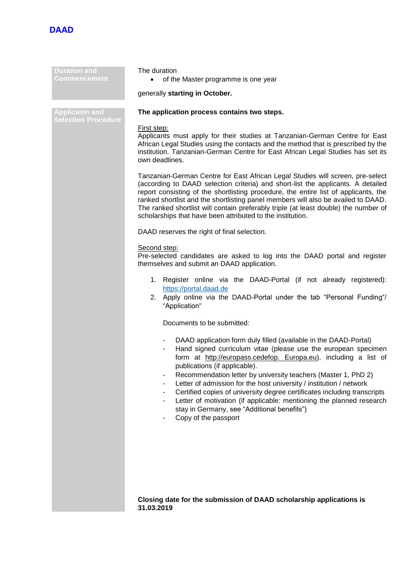

**Duration and Commencement**

**Applicaion and** 

## The duration

• of the Master programme is one year

# generally **starting in October.**

# **The application process contains two steps.**

#### First step:

Applicants must apply for their studies at Tanzanian-German Centre for East African Legal Studies using the contacts and the method that is prescribed by the institution. Tanzanian-German Centre for East African Legal Studies has set its own deadlines.

Tanzanian-German Centre for East African Legal Studies will screen, pre-select (according to DAAD selection criteria) and short-list the applicants. A detailed report consisting of the shortlisting procedure, the entire list of applicants, the ranked shortlist and the shortlisting panel members will also be availed to DAAD. The ranked shortlist will contain preferably triple (at least double) the number of scholarships that have been attributed to the institution.

DAAD reserves the right of final selection.

## Second step:

Pre-selected candidates are asked to log into the DAAD portal and register themselves and submit an DAAD application.

- 1. Register online via the DAAD-Portal (if not already registered): [https://portal.daad.de](https://portal.daad.de/)
- 2. Apply online via the DAAD-Portal under the tab "Personal Funding"/ "Application"

Documents to be submitted:

- DAAD application form duly filled (available in the DAAD-Portal)
- Hand signed curriculum vitae (please use the european specimen form at http://europass.cedefop. Europa.eu), including a list of publications (if applicable).
- Recommendation letter by university teachers (Master 1, PhD 2)
- Letter of admission for the host university / institution / network
- Certified copies of university degree certificates including transcripts
- Letter of motivation (if applicable: mentioning the planned research stay in Germany, see "Additional benefits")
- Copy of the passport

**Closing date for the submission of DAAD scholarship applications is 31.03.2019**